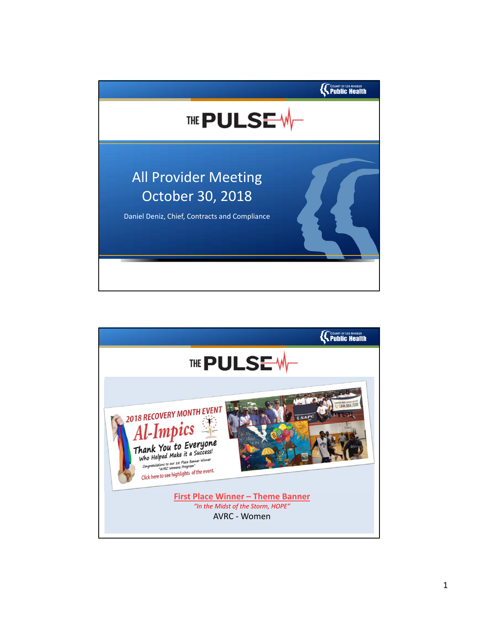

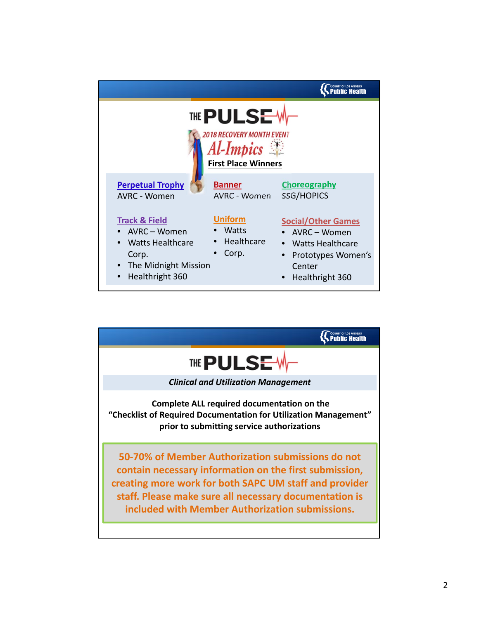|                                                                                                                      |                                                  | <b>COUNTY OF LOS ANGELES</b>                                                                                           |
|----------------------------------------------------------------------------------------------------------------------|--------------------------------------------------|------------------------------------------------------------------------------------------------------------------------|
| <b>THE PULSEV</b><br>2018 RECOVERY MONTH EVENT<br>Al-Impics<br><b>First Place Winners</b>                            |                                                  |                                                                                                                        |
| <b>Perpetual Trophy</b><br>AVRC - Women                                                                              | <b>Banner</b><br>AVRC - Women                    | Choreography<br>SSG/HOPICS                                                                                             |
| <b>Track &amp; Field</b><br>• AVRC - Women<br>Watts Healthcare<br>Corp.<br>• The Midnight Mission<br>Healthright 360 | <b>Uniform</b><br>Watts<br>• Healthcare<br>Corp. | <b>Social/Other Games</b><br>• AVRC - Women<br>• Watts Healthcare<br>• Prototypes Women's<br>Center<br>Healthright 360 |

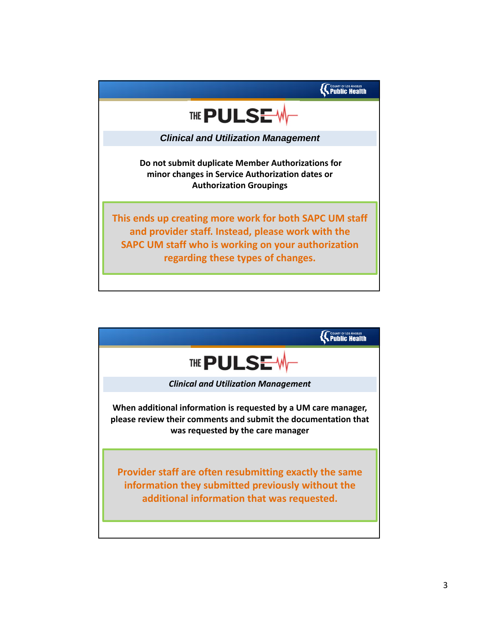

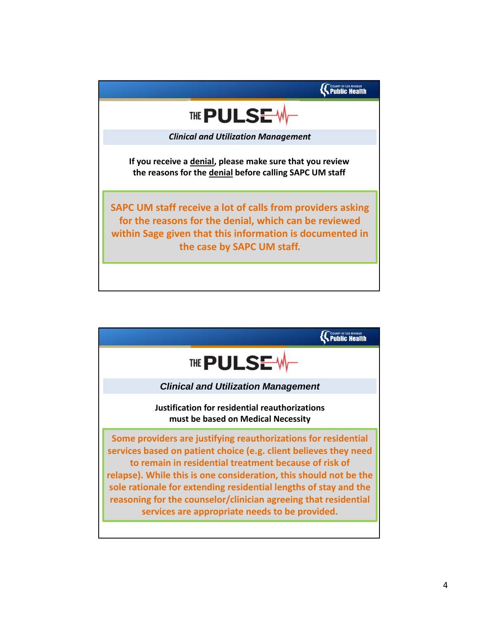

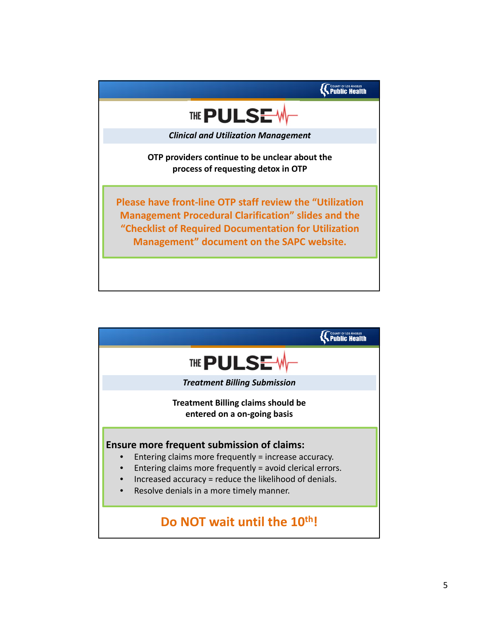